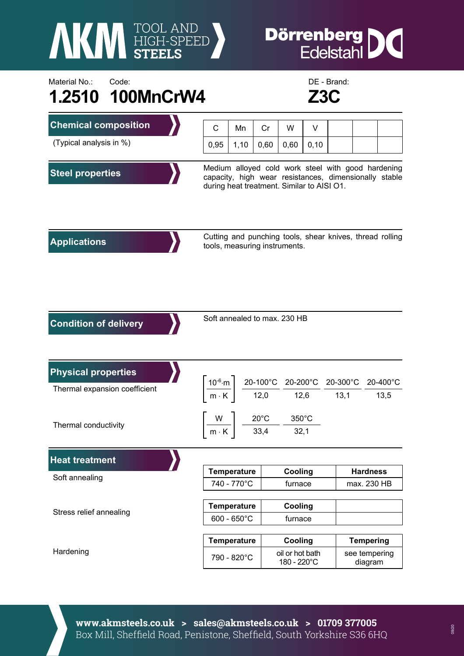**AKI HIGH-SPEED** 

## **Dörrenberg**<br>Edelstahl IC

## Material No.: Code: Code: Code: Code: Communication Code: Communication Code: DE - Brand: **1.2510 100MnCrW4 Z3C**



| <b>Chemical composition</b>                                 | C                                                                                                                                                         | Mn                    | Cr   | W                                                                                                                                                                                                                             | V    |                                                          |                          |  |  |
|-------------------------------------------------------------|-----------------------------------------------------------------------------------------------------------------------------------------------------------|-----------------------|------|-------------------------------------------------------------------------------------------------------------------------------------------------------------------------------------------------------------------------------|------|----------------------------------------------------------|--------------------------|--|--|
| (Typical analysis in %)                                     | 0,95                                                                                                                                                      | 1,10                  | 0,60 | 0,60                                                                                                                                                                                                                          | 0,10 |                                                          |                          |  |  |
| <b>Steel properties</b>                                     | Medium alloyed cold work steel with good hardening<br>capacity, high wear resistances, dimensionally stable<br>during heat treatment. Similar to AISI O1. |                       |      |                                                                                                                                                                                                                               |      |                                                          |                          |  |  |
| <b>Applications</b>                                         | tools, measuring instruments.                                                                                                                             |                       |      |                                                                                                                                                                                                                               |      | Cutting and punching tools, shear knives, thread rolling |                          |  |  |
| <b>Condition of delivery</b>                                | Soft annealed to max. 230 HB                                                                                                                              |                       |      |                                                                                                                                                                                                                               |      |                                                          |                          |  |  |
| <b>Physical properties</b><br>Thermal expansion coefficient |                                                                                                                                                           |                       |      | $\left.\frac{10^{-6}\text{ m}}{\text{m} \cdot \text{K}}\right\  \left.\frac{20-100^{\circ}\text{C}}{12,0}\right. \frac{20-200^{\circ}\text{C}}{12,6} \frac{20-300^{\circ}\text{C}}{13,1} \frac{20-400^{\circ}\text{C}}{13,5}$ |      |                                                          |                          |  |  |
| Thermal conductivity                                        |                                                                                                                                                           |                       |      | $350^{\circ}$ C<br>$\left \frac{W}{m\cdot K}\right  = \frac{20^{\circ}C}{33,4}$<br>32,1                                                                                                                                       |      |                                                          |                          |  |  |
| <b>Heat treatment</b>                                       |                                                                                                                                                           |                       |      |                                                                                                                                                                                                                               |      |                                                          |                          |  |  |
| Soft annealing                                              |                                                                                                                                                           | <b>Temperature</b>    |      | Cooling                                                                                                                                                                                                                       |      |                                                          | <b>Hardness</b>          |  |  |
|                                                             |                                                                                                                                                           | 740 - 770°C           |      | furnace                                                                                                                                                                                                                       |      |                                                          | max. 230 HB              |  |  |
| Stress relief annealing                                     |                                                                                                                                                           | <b>Temperature</b>    |      | Cooling                                                                                                                                                                                                                       |      |                                                          |                          |  |  |
|                                                             |                                                                                                                                                           | $600 - 650^{\circ}$ C |      | furnace                                                                                                                                                                                                                       |      |                                                          |                          |  |  |
| Hardening                                                   |                                                                                                                                                           | <b>Temperature</b>    |      | Cooling                                                                                                                                                                                                                       |      |                                                          | <b>Tempering</b>         |  |  |
|                                                             |                                                                                                                                                           | 790 - 820°C           |      | oil or hot bath<br>180 - 220°C                                                                                                                                                                                                |      |                                                          | see tempering<br>diagram |  |  |

**www.akmsteels.co.uk > sales@akmsteels.co.uk > 01709 377005**  Box Mill, Sheffield Road, Penistone, Sheffield, South Yorkshire S36 6HQ